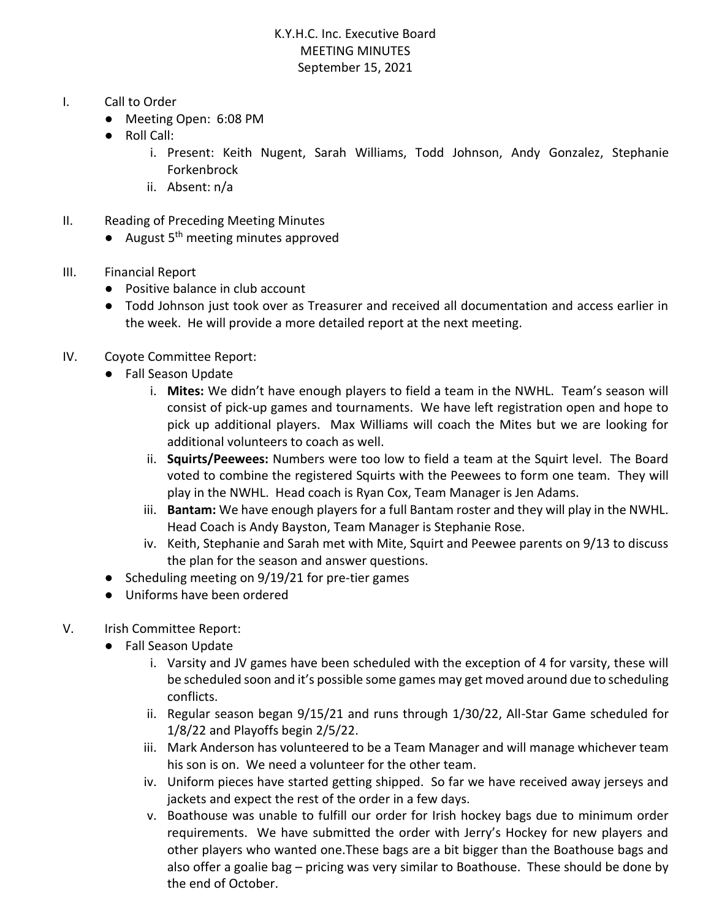## K.Y.H.C. Inc. Executive Board MEETING MINUTES September 15, 2021

- I. Call to Order
	- Meeting Open: 6:08 PM
	- Roll Call:
		- i. Present: Keith Nugent, Sarah Williams, Todd Johnson, Andy Gonzalez, Stephanie Forkenbrock
		- ii. Absent: n/a
- II. Reading of Preceding Meeting Minutes
	- $\bullet$  August 5<sup>th</sup> meeting minutes approved
- III. Financial Report
	- Positive balance in club account
	- Todd Johnson just took over as Treasurer and received all documentation and access earlier in the week. He will provide a more detailed report at the next meeting.

## IV. Coyote Committee Report:

- Fall Season Update
	- i. **Mites:** We didn't have enough players to field a team in the NWHL. Team's season will consist of pick-up games and tournaments. We have left registration open and hope to pick up additional players. Max Williams will coach the Mites but we are looking for additional volunteers to coach as well.
	- ii. **Squirts/Peewees:** Numbers were too low to field a team at the Squirt level. The Board voted to combine the registered Squirts with the Peewees to form one team. They will play in the NWHL. Head coach is Ryan Cox, Team Manager is Jen Adams.
	- iii. **Bantam:** We have enough players for a full Bantam roster and they will play in the NWHL. Head Coach is Andy Bayston, Team Manager is Stephanie Rose.
	- iv. Keith, Stephanie and Sarah met with Mite, Squirt and Peewee parents on 9/13 to discuss the plan for the season and answer questions.
- Scheduling meeting on 9/19/21 for pre-tier games
- Uniforms have been ordered
- V. Irish Committee Report:
	- Fall Season Update
		- i. Varsity and JV games have been scheduled with the exception of 4 for varsity, these will be scheduled soon and it's possible some games may get moved around due to scheduling conflicts.
		- ii. Regular season began 9/15/21 and runs through 1/30/22, All-Star Game scheduled for 1/8/22 and Playoffs begin 2/5/22.
		- iii. Mark Anderson has volunteered to be a Team Manager and will manage whichever team his son is on. We need a volunteer for the other team.
		- iv. Uniform pieces have started getting shipped. So far we have received away jerseys and jackets and expect the rest of the order in a few days.
		- v. Boathouse was unable to fulfill our order for Irish hockey bags due to minimum order requirements. We have submitted the order with Jerry's Hockey for new players and other players who wanted one.These bags are a bit bigger than the Boathouse bags and also offer a goalie bag – pricing was very similar to Boathouse. These should be done by the end of October.